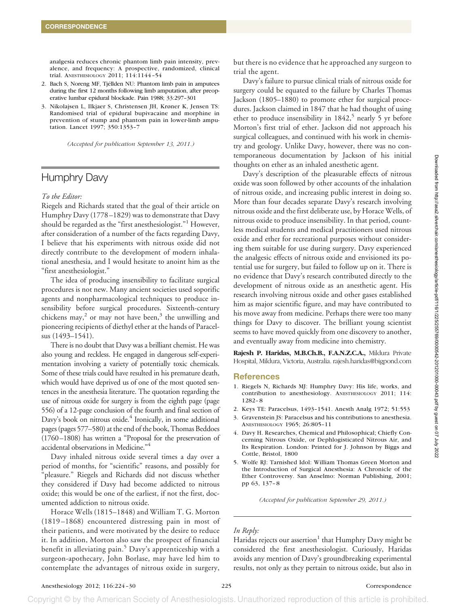analgesia reduces chronic phantom limb pain intensity, prevalence, and frequency: A prospective, randomized, clinical trial. ANESTHESIOLOGY 2011; 114:1144 –54

- 2. Bach S, Noreng MF, Tjéllden NU: Phantom limb pain in amputees during the first 12 months following limb amputation, after preoperative lumbar epidural blockade. Pain 1988; 33:297–301
- 3. Nikolajsen L, Ilkjaer S, Christensen JH, Krøner K, Jensen TS: Randomised trial of epidural bupivacaine and morphine in prevention of stump and phantom pain in lower-limb amputation. Lancet 1997; 350:1353–7

*(Accepted for publication September 13, 2011.)*

# Humphry Davy

## *To the Editor:*

Riegels and Richards stated that the goal of their article on Humphry Davy (1778 –1829) was to demonstrate that Davy should be regarded as the "first anesthesiologist."1 However, after consideration of a number of the facts regarding Davy, I believe that his experiments with nitrous oxide did not directly contribute to the development of modern inhalational anesthesia, and I would hesitate to anoint him as the "first anesthesiologist."

The idea of producing insensibility to facilitate surgical procedures is not new. Many ancient societies used soporific agents and nonpharmacological techniques to produce insensibility before surgical procedures. Sixteenth-century chickens may, $^2$  or may not have been, $^3$  the unwilling and pioneering recipients of diethyl ether at the hands of Paracelsus (1493–1541).

There is no doubt that Davy was a brilliant chemist. He was also young and reckless. He engaged in dangerous self-experimentation involving a variety of potentially toxic chemicals. Some of these trials could have resulted in his premature death, which would have deprived us of one of the most quoted sentences in the anesthesia literature. The quotation regarding the use of nitrous oxide for surgery is from the eighth page (page 556) of a 12-page conclusion of the fourth and final section of Davy's book on nitrous oxide.<sup>4</sup> Ironically, in some additional pages (pages 577–580) at the end of the book, Thomas Beddoes (1760 –1808) has written a "Proposal for the preservation of accidental observations in Medicine."4

Davy inhaled nitrous oxide several times a day over a period of months, for "scientific" reasons, and possibly for "pleasure." Riegels and Richards did not discuss whether they considered if Davy had become addicted to nitrous oxide; this would be one of the earliest, if not the first, documented addiction to nitrous oxide.

Horace Wells (1815–1848) and William T. G. Morton (1819 –1868) encountered distressing pain in most of their patients, and were motivated by the desire to reduce it. In addition, Morton also saw the prospect of financial benefit in alleviating pain.<sup>5</sup> Davy's apprenticeship with a surgeon-apothecary, John Borlase, may have led him to contemplate the advantages of nitrous oxide in surgery,

but there is no evidence that he approached any surgeon to trial the agent.

Davy's failure to pursue clinical trials of nitrous oxide for surgery could be equated to the failure by Charles Thomas Jackson (1805–1880) to promote ether for surgical procedures. Jackson claimed in 1847 that he had thought of using ether to produce insensibility in  $1842$ ,<sup>5</sup> nearly 5 yr before Morton's first trial of ether. Jackson did not approach his surgical colleagues, and continued with his work in chemistry and geology. Unlike Davy, however, there was no contemporaneous documentation by Jackson of his initial thoughts on ether as an inhaled anesthetic agent.

Davy's description of the pleasurable effects of nitrous oxide was soon followed by other accounts of the inhalation of nitrous oxide, and increasing public interest in doing so. More than four decades separate Davy's research involving nitrous oxide and the first deliberate use, by Horace Wells, of nitrous oxide to produce insensibility. In that period, countless medical students and medical practitioners used nitrous oxide and ether for recreational purposes without considering them suitable for use during surgery. Davy experienced the analgesic effects of nitrous oxide and envisioned its potential use for surgery, but failed to follow up on it. There is no evidence that Davy's research contributed directly to the development of nitrous oxide as an anesthetic agent. His research involving nitrous oxide and other gases established him as major scientific figure, and may have contributed to his move away from medicine. Perhaps there were too many things for Davy to discover. The brilliant young scientist seems to have moved quickly from one discovery to another, and eventually away from medicine into chemistry.

**Rajesh P. Haridas, M.B.Ch.B., F.A.N.Z.C.A.,** Mildura Private Hospital, Mildura, Victoria, Australia. rajesh.haridas@bigpond.com

### **References**

- 1. Riegels N, Richards MJ: Humphry Davy: His life, works, and contribution to anesthesiology. ANESTHESIOLOGY 2011; 114: 1282– 8
- 2. Keys TE: Paracelsus, 1493–1541. Anesth Analg 1972; 51:553
- 3. Gravenstein JS: Paracelsus and his contributions to anesthesia. ANESTHESIOLOGY 1965; 26:805–11
- 4. Davy H. Researches, Chemical and Philosophical; Chiefly Concerning Nitrous Oxide, or Dephlogisticated Nitrous Air, and Its Respiration. London: Printed for J. Johnson by Biggs and Cottle, Bristol, 1800
- 5. Wolfe RJ: Tarnished Idol: William Thomas Green Morton and the Introduction of Surgical Anesthesia: A Chronicle of the Ether Controversy. San Anselmo: Norman Publishing, 2001; pp 63, 137– 8

*(Accepted for publication September 29, 2011.)*

## *In Reply:*

Haridas rejects our assertion<sup>1</sup> that Humphry Davy might be considered the first anesthesiologist. Curiously, Haridas avoids any mention of Davy's groundbreaking experimental results, not only as they pertain to nitrous oxide, but also in

Copyright © by the American Society of Anesthesiologists. Unauthorized reproduction of this article is prohibited